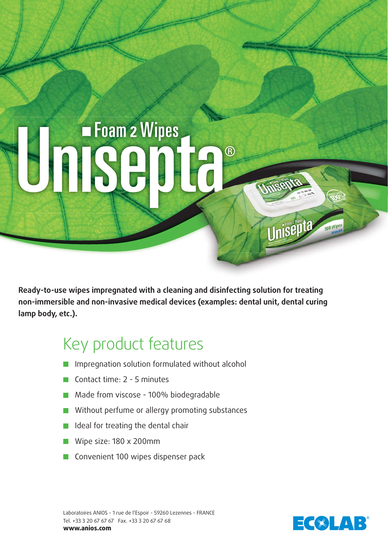## **Foam 2 Wipes**  $\circledR$

**Ready-to-use wipes impregnated with a cleaning and disinfecting solution for treating non-immersible and non-invasive medical devices (examples: dental unit, dental curing lamp body, etc.).**

## Key product features

- **Impregnation solution formulated without alcohol**
- Contact time:  $2 5$  minutes
- Made from viscose 100% biodegradable
- **Without perfume or allergy promoting substances**
- I Ideal for treating the dental chair
- Wipe size: 180 x 200mm
- Convenient 100 wipes dispenser pack

Laboratoires ANIOS - 1 rue de l'Espoir - 59260 Lezennes - FRANCE Tel. +33 3 20 67 67 67 Fax. +33 3 20 67 67 68 **www.anios.com**



Unisepta

100 Wil